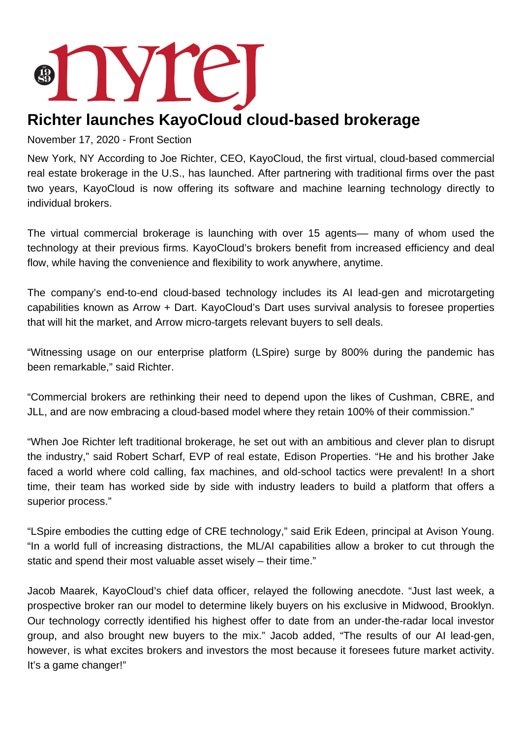## **SOVIE**

## **Richter launches KayoCloud cloud-based brokerage**

November 17, 2020 - Front Section

New York, NY According to Joe Richter, CEO, KayoCloud, the first virtual, cloud-based commercial real estate brokerage in the U.S., has launched. After partnering with traditional firms over the past two years, KayoCloud is now offering its software and machine learning technology directly to individual brokers.

The virtual commercial brokerage is launching with over 15 agents— many of whom used the technology at their previous firms. KayoCloud's brokers benefit from increased efficiency and deal flow, while having the convenience and flexibility to work anywhere, anytime.

The company's end-to-end cloud-based technology includes its AI lead-gen and microtargeting capabilities known as Arrow + Dart. KayoCloud's Dart uses survival analysis to foresee properties that will hit the market, and Arrow micro-targets relevant buyers to sell deals.

"Witnessing usage on our enterprise platform (LSpire) surge by 800% during the pandemic has been remarkable," said Richter.

"Commercial brokers are rethinking their need to depend upon the likes of Cushman, CBRE, and JLL, and are now embracing a cloud-based model where they retain 100% of their commission."

"When Joe Richter left traditional brokerage, he set out with an ambitious and clever plan to disrupt the industry," said Robert Scharf, EVP of real estate, Edison Properties. "He and his brother Jake faced a world where cold calling, fax machines, and old-school tactics were prevalent! In a short time, their team has worked side by side with industry leaders to build a platform that offers a superior process."

"LSpire embodies the cutting edge of CRE technology," said Erik Edeen, principal at Avison Young. "In a world full of increasing distractions, the ML/AI capabilities allow a broker to cut through the static and spend their most valuable asset wisely – their time."

Jacob Maarek, KayoCloud's chief data officer, relayed the following anecdote. "Just last week, a prospective broker ran our model to determine likely buyers on his exclusive in Midwood, Brooklyn. Our technology correctly identified his highest offer to date from an under-the-radar local investor group, and also brought new buyers to the mix." Jacob added, "The results of our AI lead-gen, however, is what excites brokers and investors the most because it foresees future market activity. It's a game changer!"